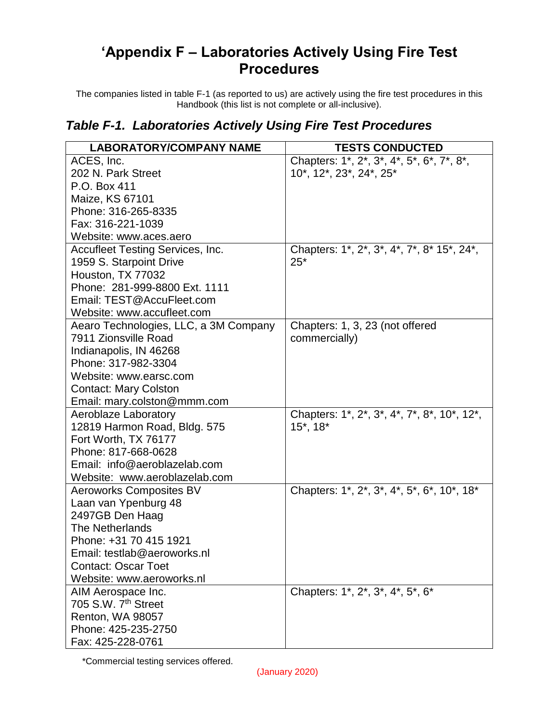## **'Appendix F – Laboratories Actively Using Fire Test Procedures**

The companies listed in table F-1 (as reported to us) are actively using the fire test procedures in this Handbook (this list is not complete or all-inclusive).

## *Table F-1. Laboratories Actively Using Fire Test Procedures*

| <b>LABORATORY/COMPANY NAME</b>        | <b>TESTS CONDUCTED</b>                      |
|---------------------------------------|---------------------------------------------|
| ACES, Inc.                            | Chapters: 1*, 2*, 3*, 4*, 5*, 6*, 7*, 8*,   |
| 202 N. Park Street                    | 10*, 12*, 23*, 24*, 25*                     |
| P.O. Box 411                          |                                             |
| Maize, KS 67101                       |                                             |
| Phone: 316-265-8335                   |                                             |
| Fax: 316-221-1039                     |                                             |
| Website: www.aces.aero                |                                             |
| Accufleet Testing Services, Inc.      | Chapters: 1*, 2*, 3*, 4*, 7*, 8* 15*, 24*,  |
| 1959 S. Starpoint Drive               | $25*$                                       |
| Houston, TX 77032                     |                                             |
| Phone: 281-999-8800 Ext. 1111         |                                             |
| Email: TEST@AccuFleet.com             |                                             |
| Website: www.accufleet.com            |                                             |
| Aearo Technologies, LLC, a 3M Company | Chapters: 1, 3, 23 (not offered             |
| 7911 Zionsville Road                  | commercially)                               |
| Indianapolis, IN 46268                |                                             |
| Phone: 317-982-3304                   |                                             |
| Website: www.earsc.com                |                                             |
| <b>Contact: Mary Colston</b>          |                                             |
| Email: mary.colston@mmm.com           |                                             |
| Aeroblaze Laboratory                  | Chapters: 1*, 2*, 3*, 4*, 7*, 8*, 10*, 12*, |
| 12819 Harmon Road, Bldg. 575          | $15^*$ , $18^*$                             |
| Fort Worth, TX 76177                  |                                             |
| Phone: 817-668-0628                   |                                             |
| Email: info@aeroblazelab.com          |                                             |
| Website: www.aeroblazelab.com         |                                             |
| <b>Aeroworks Composites BV</b>        | Chapters: 1*, 2*, 3*, 4*, 5*, 6*, 10*, 18*  |
| Laan van Ypenburg 48                  |                                             |
| 2497GB Den Haag                       |                                             |
| The Netherlands                       |                                             |
| Phone: +31 70 415 1921                |                                             |
| Email: testlab@aeroworks.nl           |                                             |
| <b>Contact: Oscar Toet</b>            |                                             |
| Website: www.aeroworks.nl             |                                             |
| AIM Aerospace Inc.                    | Chapters: 1*, 2*, 3*, 4*, 5*, 6*            |
| 705 S.W. 7 <sup>th</sup> Street       |                                             |
| Renton, WA 98057                      |                                             |
| Phone: 425-235-2750                   |                                             |
| Fax: 425-228-0761                     |                                             |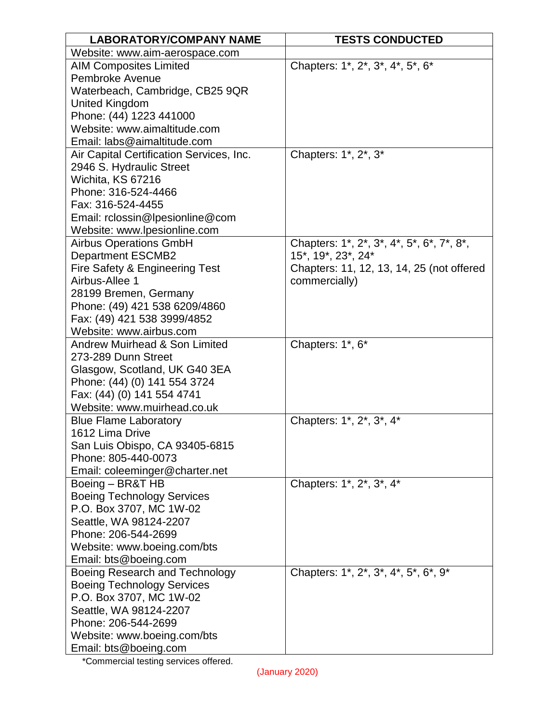| <b>LABORATORY/COMPANY NAME</b>                                      | <b>TESTS CONDUCTED</b>                    |
|---------------------------------------------------------------------|-------------------------------------------|
| Website: www.aim-aerospace.com                                      |                                           |
| <b>AIM Composites Limited</b>                                       | Chapters: 1*, 2*, 3*, 4*, 5*, 6*          |
| Pembroke Avenue                                                     |                                           |
| Waterbeach, Cambridge, CB25 9QR                                     |                                           |
| <b>United Kingdom</b>                                               |                                           |
| Phone: (44) 1223 441000                                             |                                           |
| Website: www.aimaltitude.com                                        |                                           |
| Email: labs@aimaltitude.com                                         |                                           |
| Air Capital Certification Services, Inc.                            | Chapters: 1*, 2*, 3*                      |
| 2946 S. Hydraulic Street                                            |                                           |
| Wichita, KS 67216                                                   |                                           |
| Phone: 316-524-4466                                                 |                                           |
| Fax: 316-524-4455                                                   |                                           |
| Email: rclossin@lpesionline@com                                     |                                           |
| Website: www.lpesionline.com                                        |                                           |
| <b>Airbus Operations GmbH</b>                                       | Chapters: 1*, 2*, 3*, 4*, 5*, 6*, 7*, 8*, |
| <b>Department ESCMB2</b>                                            | 15*, 19*, 23*, 24*                        |
| Fire Safety & Engineering Test                                      | Chapters: 11, 12, 13, 14, 25 (not offered |
| Airbus-Allee 1                                                      | commercially)                             |
| 28199 Bremen, Germany                                               |                                           |
| Phone: (49) 421 538 6209/4860                                       |                                           |
| Fax: (49) 421 538 3999/4852                                         |                                           |
| Website: www.airbus.com<br><b>Andrew Muirhead &amp; Son Limited</b> |                                           |
| 273-289 Dunn Street                                                 | Chapters: 1*, 6*                          |
| Glasgow, Scotland, UK G40 3EA                                       |                                           |
| Phone: (44) (0) 141 554 3724                                        |                                           |
| Fax: (44) (0) 141 554 4741                                          |                                           |
| Website: www.muirhead.co.uk                                         |                                           |
| <b>Blue Flame Laboratory</b>                                        | Chapters: 1*, 2*, 3*, 4*                  |
| 1612 Lima Drive                                                     |                                           |
| San Luis Obispo, CA 93405-6815                                      |                                           |
| Phone: 805-440-0073                                                 |                                           |
| Email: coleeminger@charter.net                                      |                                           |
| Boeing - BR&T HB                                                    | Chapters: 1*, 2*, 3*, 4*                  |
| <b>Boeing Technology Services</b>                                   |                                           |
| P.O. Box 3707, MC 1W-02                                             |                                           |
| Seattle, WA 98124-2207                                              |                                           |
| Phone: 206-544-2699                                                 |                                           |
| Website: www.boeing.com/bts                                         |                                           |
| Email: bts@boeing.com                                               |                                           |
| Boeing Research and Technology                                      | Chapters: 1*, 2*, 3*, 4*, 5*, 6*, 9*      |
| <b>Boeing Technology Services</b>                                   |                                           |
| P.O. Box 3707, MC 1W-02                                             |                                           |
| Seattle, WA 98124-2207                                              |                                           |
| Phone: 206-544-2699                                                 |                                           |
| Website: www.boeing.com/bts                                         |                                           |
| Email: bts@boeing.com                                               |                                           |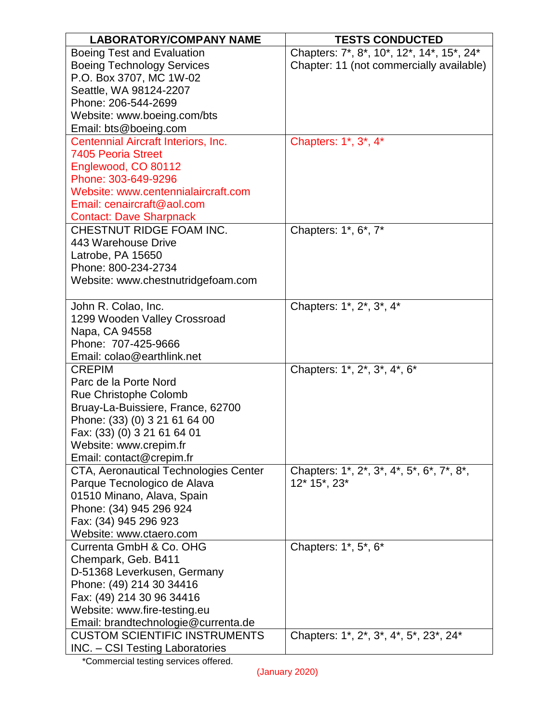| <b>LABORATORY/COMPANY NAME</b>         | <b>TESTS CONDUCTED</b>                    |
|----------------------------------------|-------------------------------------------|
| <b>Boeing Test and Evaluation</b>      | Chapters: 7*, 8*, 10*, 12*, 14*, 15*, 24* |
| <b>Boeing Technology Services</b>      | Chapter: 11 (not commercially available)  |
| P.O. Box 3707, MC 1W-02                |                                           |
| Seattle, WA 98124-2207                 |                                           |
| Phone: 206-544-2699                    |                                           |
| Website: www.boeing.com/bts            |                                           |
| Email: bts@boeing.com                  |                                           |
| Centennial Aircraft Interiors, Inc.    | Chapters: 1*, 3*, 4*                      |
| <b>7405 Peoria Street</b>              |                                           |
| Englewood, CO 80112                    |                                           |
| Phone: 303-649-9296                    |                                           |
| Website: www.centennialaircraft.com    |                                           |
| Email: cenaircraft@aol.com             |                                           |
| <b>Contact: Dave Sharpnack</b>         |                                           |
| CHESTNUT RIDGE FOAM INC.               | Chapters: 1*, 6*, 7*                      |
| 443 Warehouse Drive                    |                                           |
| Latrobe, PA 15650                      |                                           |
| Phone: 800-234-2734                    |                                           |
| Website: www.chestnutridgefoam.com     |                                           |
|                                        |                                           |
| John R. Colao, Inc.                    | Chapters: 1*, 2*, 3*, 4*                  |
| 1299 Wooden Valley Crossroad           |                                           |
| Napa, CA 94558                         |                                           |
| Phone: 707-425-9666                    |                                           |
| Email: colao@earthlink.net             |                                           |
| <b>CREPIM</b>                          | Chapters: 1*, 2*, 3*, 4*, 6*              |
| Parc de la Porte Nord                  |                                           |
| <b>Rue Christophe Colomb</b>           |                                           |
| Bruay-La-Buissiere, France, 62700      |                                           |
| Phone: (33) (0) 3 21 61 64 00          |                                           |
| Fax: (33) (0) 3 21 61 64 01            |                                           |
| Website: www.crepim.fr                 |                                           |
| Email: contact@crepim.fr               |                                           |
| CTA, Aeronautical Technologies Center  | Chapters: 1*, 2*, 3*, 4*, 5*, 6*, 7*, 8*, |
| Parque Tecnologico de Alava            | 12* 15*, 23*                              |
| 01510 Minano, Alava, Spain             |                                           |
| Phone: (34) 945 296 924                |                                           |
| Fax: (34) 945 296 923                  |                                           |
| Website: www.ctaero.com                |                                           |
| Currenta GmbH & Co. OHG                | Chapters: 1*, 5*, 6*                      |
| Chempark, Geb. B411                    |                                           |
| D-51368 Leverkusen, Germany            |                                           |
| Phone: (49) 214 30 34416               |                                           |
| Fax: (49) 214 30 96 34416              |                                           |
| Website: www.fire-testing.eu           |                                           |
| Email: brandtechnologie@currenta.de    |                                           |
| <b>CUSTOM SCIENTIFIC INSTRUMENTS</b>   | Chapters: 1*, 2*, 3*, 4*, 5*, 23*, 24*    |
| <b>INC.</b> - CSI Testing Laboratories |                                           |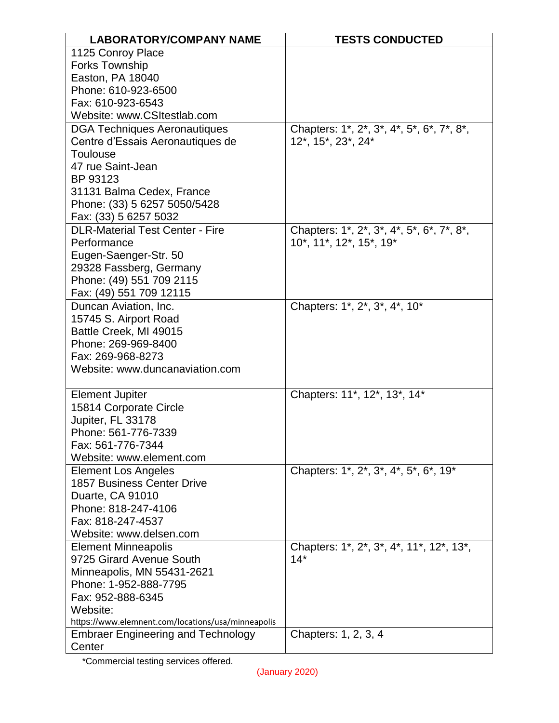| <b>LABORATORY/COMPANY NAME</b>                     | <b>TESTS CONDUCTED</b>                    |
|----------------------------------------------------|-------------------------------------------|
| 1125 Conroy Place                                  |                                           |
| <b>Forks Township</b>                              |                                           |
| Easton, PA 18040                                   |                                           |
| Phone: 610-923-6500                                |                                           |
| Fax: 610-923-6543                                  |                                           |
| Website: www.CSItestlab.com                        |                                           |
| <b>DGA Techniques Aeronautiques</b>                | Chapters: 1*, 2*, 3*, 4*, 5*, 6*, 7*, 8*, |
| Centre d'Essais Aeronautiques de                   | 12*, 15*, 23*, 24*                        |
| Toulouse                                           |                                           |
| 47 rue Saint-Jean                                  |                                           |
| BP 93123                                           |                                           |
| 31131 Balma Cedex, France                          |                                           |
| Phone: (33) 5 6257 5050/5428                       |                                           |
| Fax: (33) 5 6257 5032                              |                                           |
| <b>DLR-Material Test Center - Fire</b>             | Chapters: 1*, 2*, 3*, 4*, 5*, 6*, 7*, 8*, |
| Performance                                        | 10*, 11*, 12*, 15*, 19*                   |
| Eugen-Saenger-Str. 50                              |                                           |
| 29328 Fassberg, Germany                            |                                           |
| Phone: (49) 551 709 2115                           |                                           |
| Fax: (49) 551 709 12115                            |                                           |
| Duncan Aviation, Inc.                              | Chapters: 1*, 2*, 3*, 4*, 10*             |
| 15745 S. Airport Road                              |                                           |
| Battle Creek, MI 49015                             |                                           |
| Phone: 269-969-8400                                |                                           |
| Fax: 269-968-8273                                  |                                           |
| Website: www.duncanaviation.com                    |                                           |
| <b>Element Jupiter</b>                             | Chapters: 11*, 12*, 13*, 14*              |
| 15814 Corporate Circle                             |                                           |
| Jupiter, FL 33178                                  |                                           |
| Phone: 561-776-7339                                |                                           |
| Fax: 561-776-7344                                  |                                           |
| Website: www.element.com                           |                                           |
| <b>Element Los Angeles</b>                         | Chapters: 1*, 2*, 3*, 4*, 5*, 6*, 19*     |
| <b>1857 Business Center Drive</b>                  |                                           |
| Duarte, CA 91010                                   |                                           |
| Phone: 818-247-4106                                |                                           |
| Fax: 818-247-4537                                  |                                           |
| Website: www.delsen.com                            |                                           |
| <b>Element Minneapolis</b>                         | Chapters: 1*, 2*, 3*, 4*, 11*, 12*, 13*,  |
| 9725 Girard Avenue South                           | $14*$                                     |
| Minneapolis, MN 55431-2621                         |                                           |
| Phone: 1-952-888-7795                              |                                           |
| Fax: 952-888-6345                                  |                                           |
| Website:                                           |                                           |
| https://www.elemnent.com/locations/usa/minneapolis |                                           |
| <b>Embraer Engineering and Technology</b>          | Chapters: 1, 2, 3, 4                      |
| Center                                             |                                           |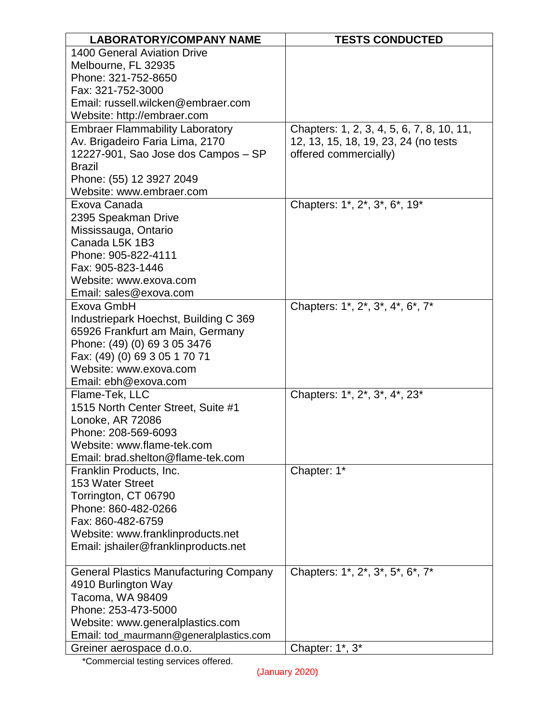| <b>LABORATORY/COMPANY NAME</b>                | <b>TESTS CONDUCTED</b>                        |
|-----------------------------------------------|-----------------------------------------------|
| 1400 General Aviation Drive                   |                                               |
| Melbourne, FL 32935                           |                                               |
| Phone: 321-752-8650                           |                                               |
| Fax: 321-752-3000                             |                                               |
| Email: russell.wilcken@embraer.com            |                                               |
| Website: http://embraer.com                   |                                               |
| <b>Embraer Flammability Laboratory</b>        | Chapters: 1, 2, 3, 4, 5, 6, 7, 8, 10, 11,     |
| Av. Brigadeiro Faria Lima, 2170               | 12, 13, 15, 18, 19, 23, 24 (no tests          |
| 12227-901, Sao Jose dos Campos - SP           | offered commercially)                         |
| <b>Brazil</b>                                 |                                               |
| Phone: (55) 12 3927 2049                      |                                               |
| Website: www.embraer.com                      |                                               |
| Exova Canada                                  | Chapters: 1*, 2*, 3*, 6*, 19*                 |
| 2395 Speakman Drive                           |                                               |
| Mississauga, Ontario                          |                                               |
| Canada L5K 1B3                                |                                               |
| Phone: 905-822-4111                           |                                               |
| Fax: 905-823-1446                             |                                               |
| Website: www.exova.com                        |                                               |
| Email: sales@exova.com                        |                                               |
| Exova GmbH                                    | Chapters: 1*, 2*, 3 <sup>*</sup> , 4*, 6*, 7* |
| Industriepark Hoechst, Building C 369         |                                               |
| 65926 Frankfurt am Main, Germany              |                                               |
| Phone: (49) (0) 69 3 05 3476                  |                                               |
| Fax: (49) (0) 69 3 05 1 70 71                 |                                               |
| Website: www.exova.com                        |                                               |
| Email: ebh@exova.com                          |                                               |
| Flame-Tek, LLC                                | Chapters: 1*, 2*, 3*, 4*, 23*                 |
| 1515 North Center Street, Suite #1            |                                               |
| Lonoke, AR 72086                              |                                               |
| Phone: 208-569-6093                           |                                               |
| Website: www.flame-tek.com                    |                                               |
| Email: brad.shelton@flame-tek.com             |                                               |
| Franklin Products, Inc.                       | Chapter: 1*                                   |
| 153 Water Street                              |                                               |
| Torrington, CT 06790                          |                                               |
| Phone: 860-482-0266                           |                                               |
| Fax: 860-482-6759                             |                                               |
| Website: www.franklinproducts.net             |                                               |
| Email: jshailer@franklinproducts.net          |                                               |
| <b>General Plastics Manufacturing Company</b> | Chapters: 1*, 2*, 3*, 5*, 6*, 7*              |
| 4910 Burlington Way                           |                                               |
| Tacoma, WA 98409                              |                                               |
| Phone: 253-473-5000                           |                                               |
| Website: www.generalplastics.com              |                                               |
| Email: tod_maurmann@generalplastics.com       |                                               |
| Greiner aerospace d.o.o.                      | Chapter: 1*, 3*                               |
|                                               |                                               |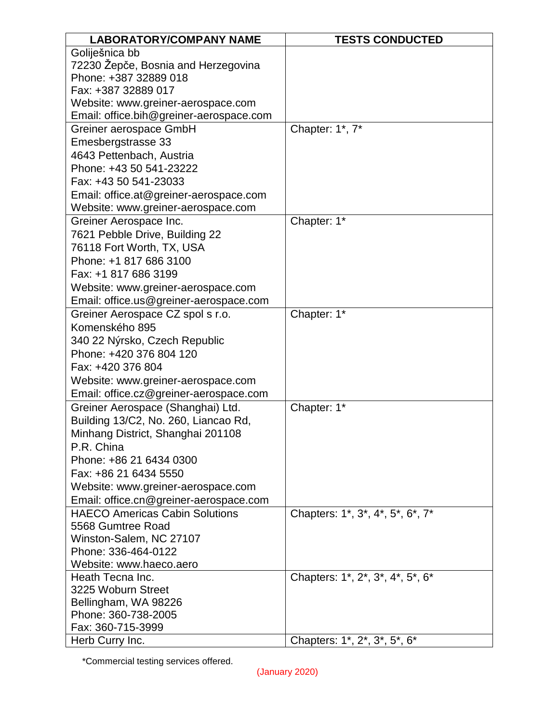| <b>LABORATORY/COMPANY NAME</b>          | <b>TESTS CONDUCTED</b>           |
|-----------------------------------------|----------------------------------|
| Goliješnica bb                          |                                  |
| 72230 Žepče, Bosnia and Herzegovina     |                                  |
| Phone: +387 32889 018                   |                                  |
| Fax: +387 32889 017                     |                                  |
| Website: www.greiner-aerospace.com      |                                  |
| Email: office.bih@greiner-aerospace.com |                                  |
| Greiner aerospace GmbH                  | Chapter: 1*, 7*                  |
| Emesbergstrasse 33                      |                                  |
| 4643 Pettenbach, Austria                |                                  |
| Phone: +43 50 541-23222                 |                                  |
| Fax: +43 50 541-23033                   |                                  |
| Email: office.at@greiner-aerospace.com  |                                  |
| Website: www.greiner-aerospace.com      |                                  |
| Greiner Aerospace Inc.                  | Chapter: 1*                      |
| 7621 Pebble Drive, Building 22          |                                  |
| 76118 Fort Worth, TX, USA               |                                  |
| Phone: +1 817 686 3100                  |                                  |
| Fax: +1 817 686 3199                    |                                  |
| Website: www.greiner-aerospace.com      |                                  |
| Email: office.us@greiner-aerospace.com  |                                  |
| Greiner Aerospace CZ spol s r.o.        | Chapter: 1*                      |
| Komenského 895                          |                                  |
| 340 22 Nýrsko, Czech Republic           |                                  |
| Phone: +420 376 804 120                 |                                  |
| Fax: +420 376 804                       |                                  |
| Website: www.greiner-aerospace.com      |                                  |
| Email: office.cz@greiner-aerospace.com  |                                  |
| Greiner Aerospace (Shanghai) Ltd.       | Chapter: 1*                      |
| Building 13/C2, No. 260, Liancao Rd,    |                                  |
| Minhang District, Shanghai 201108       |                                  |
| P.R. China                              |                                  |
| Phone: +86 21 6434 0300                 |                                  |
| Fax: +86 21 6434 5550                   |                                  |
| Website: www.greiner-aerospace.com      |                                  |
| Email: office.cn@greiner-aerospace.com  |                                  |
| <b>HAECO Americas Cabin Solutions</b>   | Chapters: 1*, 3*, 4*, 5*, 6*, 7* |
| 5568 Gumtree Road                       |                                  |
| Winston-Salem, NC 27107                 |                                  |
| Phone: 336-464-0122                     |                                  |
| Website: www.haeco.aero                 |                                  |
| Heath Tecna Inc.                        | Chapters: 1*, 2*, 3*, 4*, 5*, 6* |
| 3225 Woburn Street                      |                                  |
| Bellingham, WA 98226                    |                                  |
| Phone: 360-738-2005                     |                                  |
| Fax: 360-715-3999                       |                                  |
| Herb Curry Inc.                         | Chapters: 1*, 2*, 3*, 5*, 6*     |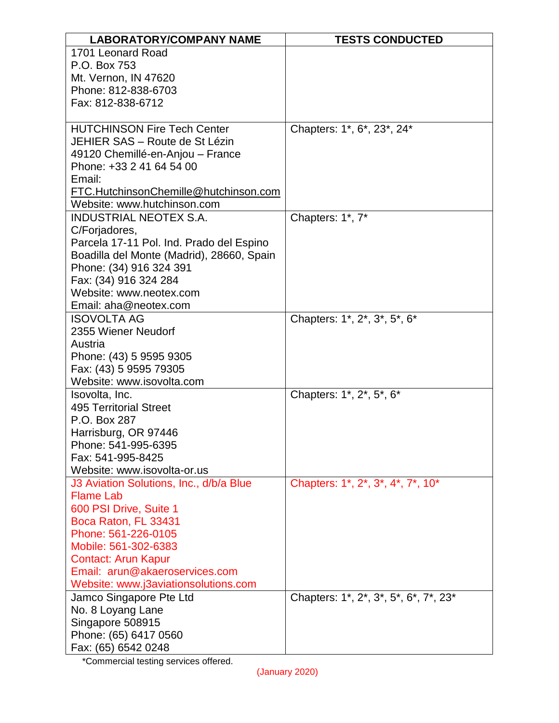| <b>LABORATORY/COMPANY NAME</b>              | <b>TESTS CONDUCTED</b>                |
|---------------------------------------------|---------------------------------------|
| 1701 Leonard Road                           |                                       |
| P.O. Box 753                                |                                       |
| Mt. Vernon, IN 47620                        |                                       |
| Phone: 812-838-6703                         |                                       |
| Fax: 812-838-6712                           |                                       |
|                                             |                                       |
| <b>HUTCHINSON Fire Tech Center</b>          | Chapters: 1*, 6*, 23*, 24*            |
| JEHIER SAS - Route de St Lézin              |                                       |
| 49120 Chemillé-en-Anjou - France            |                                       |
| Phone: +33 2 41 64 54 00<br>Email:          |                                       |
| FTC.HutchinsonChemille@hutchinson.com       |                                       |
| Website: www.hutchinson.com                 |                                       |
| <b>INDUSTRIAL NEOTEX S.A.</b>               | Chapters: 1*, 7*                      |
| C/Forjadores,                               |                                       |
| Parcela 17-11 Pol. Ind. Prado del Espino    |                                       |
| Boadilla del Monte (Madrid), 28660, Spain   |                                       |
| Phone: (34) 916 324 391                     |                                       |
| Fax: (34) 916 324 284                       |                                       |
| Website: www.neotex.com                     |                                       |
| Email: aha@neotex.com                       |                                       |
| <b>ISOVOLTA AG</b>                          | Chapters: 1*, 2*, 3*, 5*, 6*          |
| 2355 Wiener Neudorf                         |                                       |
| Austria                                     |                                       |
| Phone: (43) 5 9595 9305                     |                                       |
| Fax: (43) 5 9595 79305                      |                                       |
| Website: www.isovolta.com                   |                                       |
| Isovolta, Inc.                              | Chapters: 1*, 2*, 5*, 6*              |
| <b>495 Territorial Street</b>               |                                       |
| P.O. Box 287                                |                                       |
| Harrisburg, OR 97446<br>Phone: 541-995-6395 |                                       |
| Fax: 541-995-8425                           |                                       |
| Website: www.isovolta-or.us                 |                                       |
| J3 Aviation Solutions, Inc., d/b/a Blue     | Chapters: 1*, 2*, 3*, 4*, 7*, 10*     |
| <b>Flame Lab</b>                            |                                       |
| 600 PSI Drive, Suite 1                      |                                       |
| Boca Raton, FL 33431                        |                                       |
| Phone: 561-226-0105                         |                                       |
| Mobile: 561-302-6383                        |                                       |
| <b>Contact: Arun Kapur</b>                  |                                       |
| Email: arun@akaeroservices.com              |                                       |
| Website: www.j3aviationsolutions.com        |                                       |
| Jamco Singapore Pte Ltd                     | Chapters: 1*, 2*, 3*, 5*, 6*, 7*, 23* |
| No. 8 Loyang Lane                           |                                       |
| Singapore 508915                            |                                       |
| Phone: (65) 6417 0560                       |                                       |
| Fax: (65) 6542 0248                         |                                       |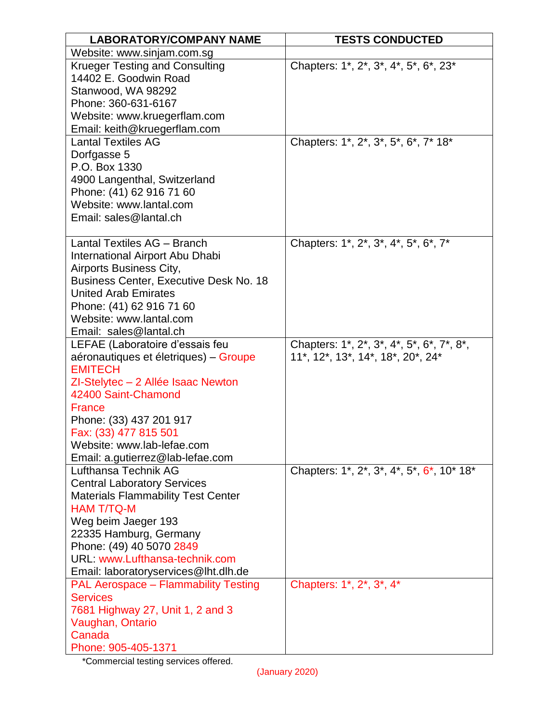| <b>LABORATORY/COMPANY NAME</b>                                                                                                                                                                                                                                                                                                     | <b>TESTS CONDUCTED</b>                                                                                                         |
|------------------------------------------------------------------------------------------------------------------------------------------------------------------------------------------------------------------------------------------------------------------------------------------------------------------------------------|--------------------------------------------------------------------------------------------------------------------------------|
| Website: www.sinjam.com.sg                                                                                                                                                                                                                                                                                                         |                                                                                                                                |
| <b>Krueger Testing and Consulting</b><br>14402 E. Goodwin Road<br>Stanwood, WA 98292<br>Phone: 360-631-6167<br>Website: www.kruegerflam.com<br>Email: keith@kruegerflam.com                                                                                                                                                        | Chapters: 1*, 2*, 3*, 4*, 5*, 6*, 23*                                                                                          |
| <b>Lantal Textiles AG</b><br>Dorfgasse 5<br>P.O. Box 1330<br>4900 Langenthal, Switzerland<br>Phone: (41) 62 916 71 60<br>Website: www.lantal.com<br>Email: sales@lantal.ch                                                                                                                                                         | Chapters: 1*, 2*, 3*, 5*, 6*, 7* 18*                                                                                           |
| Lantal Textiles AG - Branch<br>International Airport Abu Dhabi<br>Airports Business City,<br><b>Business Center, Executive Desk No. 18</b><br><b>United Arab Emirates</b><br>Phone: (41) 62 916 71 60<br>Website: www.lantal.com<br>Email: sales@lantal.ch                                                                         | Chapters: 1 <sup>*</sup> , 2 <sup>*</sup> , 3 <sup>*</sup> , 4 <sup>*</sup> , 5 <sup>*</sup> , 6 <sup>*</sup> , 7 <sup>*</sup> |
| LEFAE (Laboratoire d'essais feu<br>aéronautiques et életriques) - Groupe<br><b>EMITECH</b><br>ZI-Stelytec - 2 Allée Isaac Newton<br>42400 Saint-Chamond<br><b>France</b><br>Phone: (33) 437 201 917<br>Fax: (33) 477 815 501<br>Website: www.lab-lefae.com<br>Email: a.gutierrez@lab-lefae.com                                     | Chapters: 1*, 2*, 3*, 4*, 5*, 6*, 7*, 8*,<br>11*, 12*, 13*, 14*, 18*, 20*, 24*                                                 |
| Lufthansa Technik AG<br><b>Central Laboratory Services</b><br><b>Materials Flammability Test Center</b><br><b>HAM T/TQ-M</b><br>Weg beim Jaeger 193<br>22335 Hamburg, Germany<br>Phone: (49) 40 5070 2849<br>URL: www.Lufthansa-technik.com<br>Email: laboratoryservices@lht.dlh.de<br><b>PAL Aerospace - Flammability Testing</b> | Chapters: 1*, 2*, 3*, 4*, 5*, 6*, 10* 18*<br>Chapters: 1*, 2*, 3*, 4*                                                          |
| <b>Services</b><br>7681 Highway 27, Unit 1, 2 and 3<br>Vaughan, Ontario<br>Canada<br>Phone: 905-405-1371                                                                                                                                                                                                                           |                                                                                                                                |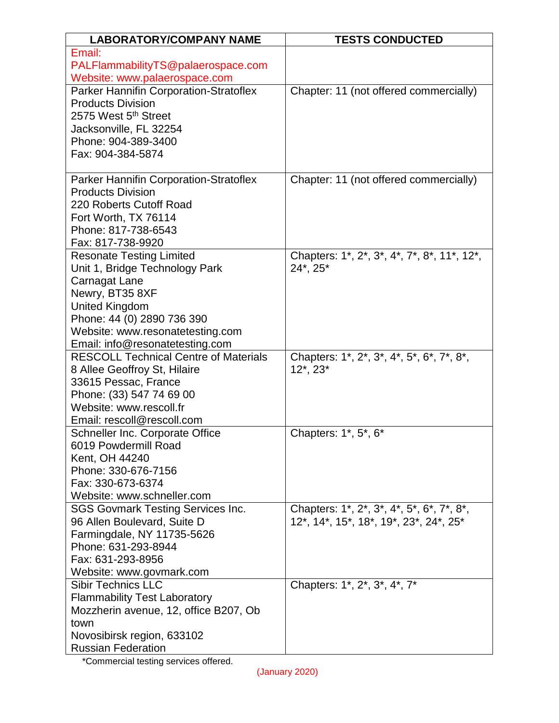| <b>LABORATORY/COMPANY NAME</b>                                          | <b>TESTS CONDUCTED</b>                      |
|-------------------------------------------------------------------------|---------------------------------------------|
| Email:                                                                  |                                             |
| PALFlammabilityTS@palaerospace.com                                      |                                             |
| Website: www.palaerospace.com                                           |                                             |
| Parker Hannifin Corporation-Stratoflex                                  | Chapter: 11 (not offered commercially)      |
| <b>Products Division</b>                                                |                                             |
| 2575 West 5 <sup>th</sup> Street                                        |                                             |
| Jacksonville, FL 32254                                                  |                                             |
| Phone: 904-389-3400                                                     |                                             |
| Fax: 904-384-5874                                                       |                                             |
| Parker Hannifin Corporation-Stratoflex                                  | Chapter: 11 (not offered commercially)      |
| <b>Products Division</b>                                                |                                             |
| 220 Roberts Cutoff Road                                                 |                                             |
| Fort Worth, TX 76114                                                    |                                             |
| Phone: 817-738-6543                                                     |                                             |
| Fax: 817-738-9920                                                       |                                             |
| <b>Resonate Testing Limited</b>                                         | Chapters: 1*, 2*, 3*, 4*, 7*, 8*, 11*, 12*, |
| Unit 1, Bridge Technology Park                                          | 24*, 25*                                    |
| Carnagat Lane                                                           |                                             |
| Newry, BT35 8XF                                                         |                                             |
| <b>United Kingdom</b>                                                   |                                             |
| Phone: 44 (0) 2890 736 390                                              |                                             |
| Website: www.resonatetesting.com                                        |                                             |
| Email: info@resonatetesting.com                                         |                                             |
| <b>RESCOLL Technical Centre of Materials</b>                            | Chapters: 1*, 2*, 3*, 4*, 5*, 6*, 7*, 8*,   |
| 8 Allee Geoffroy St, Hilaire                                            | $12^*$ , $23^*$                             |
| 33615 Pessac, France                                                    |                                             |
| Phone: (33) 547 74 69 00                                                |                                             |
| Website: www.rescoll.fr                                                 |                                             |
| Email: rescoll@rescoll.com                                              |                                             |
| Schneller Inc. Corporate Office                                         | Chapters: 1*, 5*, 6*                        |
| 6019 Powdermill Road                                                    |                                             |
| Kent, OH 44240                                                          |                                             |
| Phone: 330-676-7156                                                     |                                             |
| Fax: 330-673-6374                                                       |                                             |
| Website: www.schneller.com                                              |                                             |
| <b>SGS Govmark Testing Services Inc.</b><br>96 Allen Boulevard, Suite D | Chapters: 1*, 2*, 3*, 4*, 5*, 6*, 7*, 8*,   |
| Farmingdale, NY 11735-5626                                              | 12*, 14*, 15*, 18*, 19*, 23*, 24*, 25*      |
| Phone: 631-293-8944                                                     |                                             |
| Fax: 631-293-8956                                                       |                                             |
| Website: www.govmark.com                                                |                                             |
| <b>Sibir Technics LLC</b>                                               | Chapters: 1*, 2*, 3*, 4*, 7*                |
| <b>Flammability Test Laboratory</b>                                     |                                             |
| Mozzherin avenue, 12, office B207, Ob                                   |                                             |
| town                                                                    |                                             |
| Novosibirsk region, 633102                                              |                                             |
| <b>Russian Federation</b>                                               |                                             |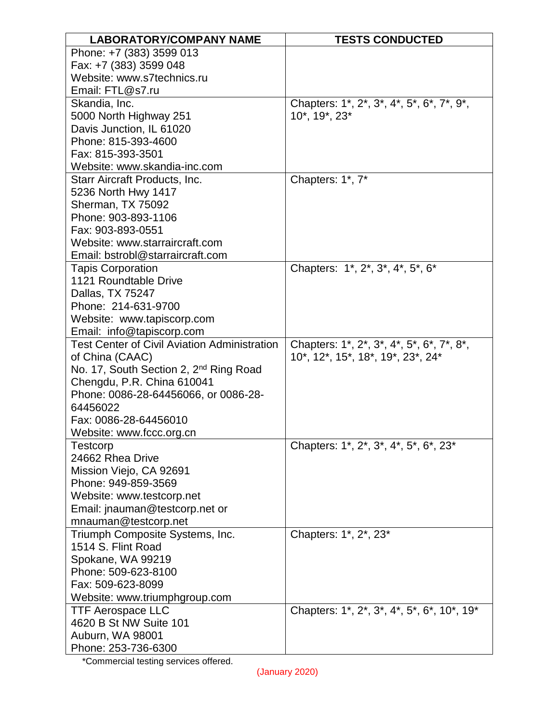| <b>LABORATORY/COMPANY NAME</b>                            | <b>TESTS CONDUCTED</b>                     |
|-----------------------------------------------------------|--------------------------------------------|
| Phone: +7 (383) 3599 013                                  |                                            |
| Fax: +7 (383) 3599 048                                    |                                            |
| Website: www.s7technics.ru                                |                                            |
| Email: FTL@s7.ru                                          |                                            |
| Skandia, Inc.                                             | Chapters: 1*, 2*, 3*, 4*, 5*, 6*, 7*, 9*,  |
| 5000 North Highway 251                                    | 10*, 19*, 23*                              |
| Davis Junction, IL 61020                                  |                                            |
| Phone: 815-393-4600                                       |                                            |
| Fax: 815-393-3501                                         |                                            |
| Website: www.skandia-inc.com                              |                                            |
| Starr Aircraft Products, Inc.                             | Chapters: 1*, 7*                           |
| 5236 North Hwy 1417                                       |                                            |
| Sherman, TX 75092                                         |                                            |
| Phone: 903-893-1106                                       |                                            |
| Fax: 903-893-0551                                         |                                            |
| Website: www.starraircraft.com                            |                                            |
| Email: bstrobl@starraircraft.com                          |                                            |
| <b>Tapis Corporation</b>                                  | Chapters: 1*, 2*, 3*, 4*, 5*, 6*           |
| 1121 Roundtable Drive                                     |                                            |
| Dallas, TX 75247                                          |                                            |
| Phone: 214-631-9700                                       |                                            |
| Website: www.tapiscorp.com                                |                                            |
| Email: info@tapiscorp.com                                 |                                            |
| <b>Test Center of Civil Aviation Administration</b>       | Chapters: 1*, 2*, 3*, 4*, 5*, 6*, 7*, 8*,  |
| of China (CAAC)                                           | 10*, 12*, 15*, 18*, 19*, 23*, 24*          |
| No. 17, South Section 2, 2 <sup>nd</sup> Ring Road        |                                            |
| Chengdu, P.R. China 610041                                |                                            |
| Phone: 0086-28-64456066, or 0086-28-                      |                                            |
| 64456022                                                  |                                            |
| Fax: 0086-28-64456010                                     |                                            |
| Website: www.fccc.org.cn                                  |                                            |
| Testcorp                                                  | Chapters: 1*, 2*, 3*, 4*, 5*, 6*, 23*      |
| 24662 Rhea Drive                                          |                                            |
| Mission Viejo, CA 92691                                   |                                            |
| Phone: 949-859-3569                                       |                                            |
| Website: www.testcorp.net                                 |                                            |
| Email: jnauman@testcorp.net or                            |                                            |
| mnauman@testcorp.net                                      |                                            |
| Triumph Composite Systems, Inc.<br>1514 S. Flint Road     | Chapters: 1*, 2*, 23*                      |
|                                                           |                                            |
| Spokane, WA 99219<br>Phone: 509-623-8100                  |                                            |
| Fax: 509-623-8099                                         |                                            |
|                                                           |                                            |
| Website: www.triumphgroup.com<br><b>TTF Aerospace LLC</b> | Chapters: 1*, 2*, 3*, 4*, 5*, 6*, 10*, 19* |
| 4620 B St NW Suite 101                                    |                                            |
| Auburn, WA 98001                                          |                                            |
| Phone: 253-736-6300                                       |                                            |
|                                                           |                                            |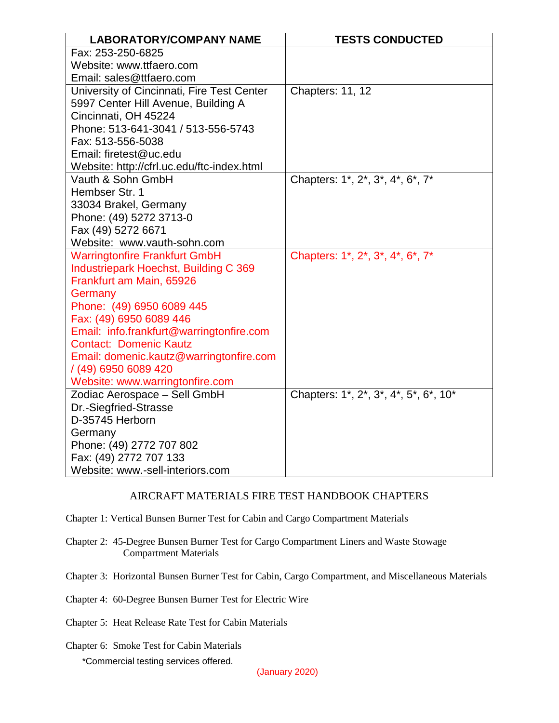| <b>LABORATORY/COMPANY NAME</b>                        | <b>TESTS CONDUCTED</b>                |
|-------------------------------------------------------|---------------------------------------|
| Fax: 253-250-6825                                     |                                       |
| Website: www.ttfaero.com                              |                                       |
| Email: sales@ttfaero.com                              |                                       |
| University of Cincinnati, Fire Test Center            | Chapters: 11, 12                      |
| 5997 Center Hill Avenue, Building A                   |                                       |
| Cincinnati, OH 45224                                  |                                       |
| Phone: 513-641-3041 / 513-556-5743                    |                                       |
| Fax: 513-556-5038                                     |                                       |
| Email: firetest@uc.edu                                |                                       |
| Website: http://cfrl.uc.edu/ftc-index.html            |                                       |
| Vauth & Sohn GmbH                                     | Chapters: 1*, 2*, 3*, 4*, 6*, 7*      |
| Hembser Str. 1                                        |                                       |
| 33034 Brakel, Germany                                 |                                       |
| Phone: (49) 5272 3713-0                               |                                       |
| Fax (49) 5272 6671                                    |                                       |
| Website: www.vauth-sohn.com                           |                                       |
| <b>Warringtonfire Frankfurt GmbH</b>                  | Chapters: 1*, 2*, 3*, 4*, 6*, 7*      |
| Industriepark Hoechst, Building C 369                 |                                       |
| Frankfurt am Main, 65926                              |                                       |
| Germany                                               |                                       |
| Phone: (49) 6950 6089 445                             |                                       |
| Fax: (49) 6950 6089 446                               |                                       |
| Email: info.frankfurt@warringtonfire.com              |                                       |
| <b>Contact: Domenic Kautz</b>                         |                                       |
| Email: domenic.kautz@warringtonfire.com               |                                       |
| / (49) 6950 6089 420                                  |                                       |
| Website: www.warringtonfire.com                       | Chapters: 1*, 2*, 3*, 4*, 5*, 6*, 10* |
| Zodiac Aerospace - Sell GmbH<br>Dr.-Siegfried-Strasse |                                       |
| D-35745 Herborn                                       |                                       |
|                                                       |                                       |
| Germany<br>Phone: (49) 2772 707 802                   |                                       |
| Fax: (49) 2772 707 133                                |                                       |
| Website: www.-sell-interiors.com                      |                                       |
|                                                       |                                       |

## AIRCRAFT MATERIALS FIRE TEST HANDBOOK CHAPTERS

Chapter 1: Vertical Bunsen Burner Test for Cabin and Cargo Compartment Materials

- Chapter 2: 45-Degree Bunsen Burner Test for Cargo Compartment Liners and Waste Stowage Compartment Materials
- Chapter 3: Horizontal Bunsen Burner Test for Cabin, Cargo Compartment, and Miscellaneous Materials
- Chapter 4: 60-Degree Bunsen Burner Test for Electric Wire
- Chapter 5: Heat Release Rate Test for Cabin Materials
- \*Commercial testing services offered. Chapter 6: Smoke Test for Cabin Materials